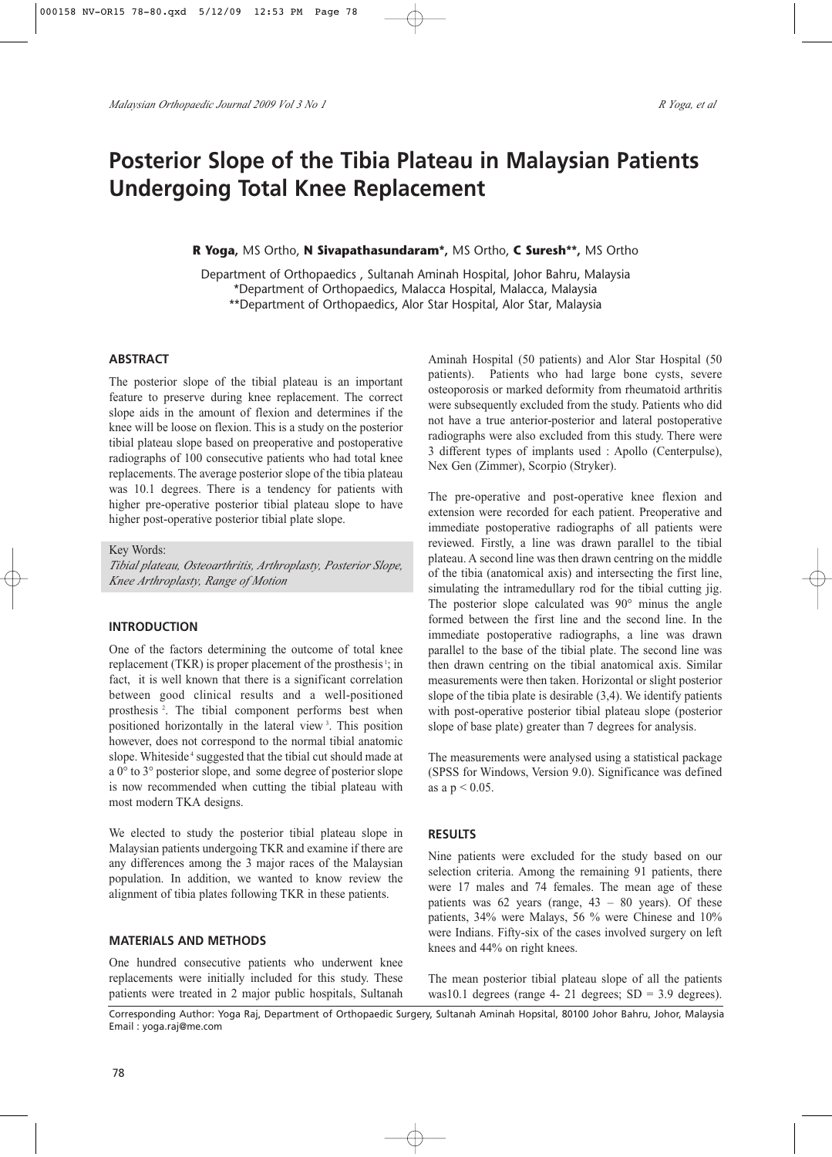# **Posterior Slope of the Tibia Plateau in Malaysian Patients Undergoing Total Knee Replacement**

## **R Yoga,** MS Ortho, **N Sivapathasundaram\*,** MS Ortho, **C Suresh\*\*,** MS Ortho

Department of Orthopaedics , Sultanah Aminah Hospital, Johor Bahru, Malaysia \*Department of Orthopaedics, Malacca Hospital, Malacca, Malaysia \*\*Department of Orthopaedics, Alor Star Hospital, Alor Star, Malaysia

## **ABSTRACT**

The posterior slope of the tibial plateau is an important feature to preserve during knee replacement. The correct slope aids in the amount of flexion and determines if the knee will be loose on flexion. This is a study on the posterior tibial plateau slope based on preoperative and postoperative radiographs of 100 consecutive patients who had total knee replacements. The average posterior slope of the tibia plateau was 10.1 degrees. There is a tendency for patients with higher pre-operative posterior tibial plateau slope to have higher post-operative posterior tibial plate slope.

Key Words:

*Tibial plateau, Osteoarthritis, Arthroplasty, Posterior Slope, Knee Arthroplasty, Range of Motion*

#### **INTRODUCTION**

One of the factors determining the outcome of total knee replacement (TKR) is proper placement of the prosthesis <sup>1</sup>; in fact, it is well known that there is a significant correlation between good clinical results and a well-positioned prosthesis <sup>2</sup> . The tibial component performs best when positioned horizontally in the lateral view <sup>3</sup> . This position however, does not correspond to the normal tibial anatomic slope. Whiteside<sup>4</sup> suggested that the tibial cut should made at a 0° to 3° posterior slope, and some degree of posterior slope is now recommended when cutting the tibial plateau with most modern TKA designs.

We elected to study the posterior tibial plateau slope in Malaysian patients undergoing TKR and examine if there are any differences among the 3 major races of the Malaysian population. In addition, we wanted to know review the alignment of tibia plates following TKR in these patients.

#### **MATERIALS AND METHODS**

One hundred consecutive patients who underwent knee replacements were initially included for this study. These patients were treated in 2 major public hospitals, Sultanah Aminah Hospital (50 patients) and Alor Star Hospital (50 patients). Patients who had large bone cysts, severe osteoporosis or marked deformity from rheumatoid arthritis were subsequently excluded from the study. Patients who did not have a true anterior-posterior and lateral postoperative radiographs were also excluded from this study. There were 3 different types of implants used : Apollo (Centerpulse), Nex Gen (Zimmer), Scorpio (Stryker).

The pre-operative and post-operative knee flexion and extension were recorded for each patient. Preoperative and immediate postoperative radiographs of all patients were reviewed. Firstly, a line was drawn parallel to the tibial plateau. A second line was then drawn centring on the middle of the tibia (anatomical axis) and intersecting the first line, simulating the intramedullary rod for the tibial cutting jig. The posterior slope calculated was 90° minus the angle formed between the first line and the second line. In the immediate postoperative radiographs, a line was drawn parallel to the base of the tibial plate. The second line was then drawn centring on the tibial anatomical axis. Similar measurements were then taken. Horizontal or slight posterior slope of the tibia plate is desirable (3,4). We identify patients with post-operative posterior tibial plateau slope (posterior slope of base plate) greater than 7 degrees for analysis.

The measurements were analysed using a statistical package (SPSS for Windows, Version 9.0). Significance was defined as a  $p < 0.05$ .

### **RESULTS**

Nine patients were excluded for the study based on our selection criteria. Among the remaining 91 patients, there were 17 males and 74 females. The mean age of these patients was  $62$  years (range,  $43 - 80$  years). Of these patients, 34% were Malays, 56 % were Chinese and 10% were Indians. Fifty-six of the cases involved surgery on left knees and 44% on right knees.

The mean posterior tibial plateau slope of all the patients was10.1 degrees (range 4- 21 degrees;  $SD = 3.9$  degrees).

Corresponding Author: Yoga Raj, Department of Orthopaedic Surgery, Sultanah Aminah Hopsital, 80100 Johor Bahru, Johor, Malaysia Email : yoga.raj@me.com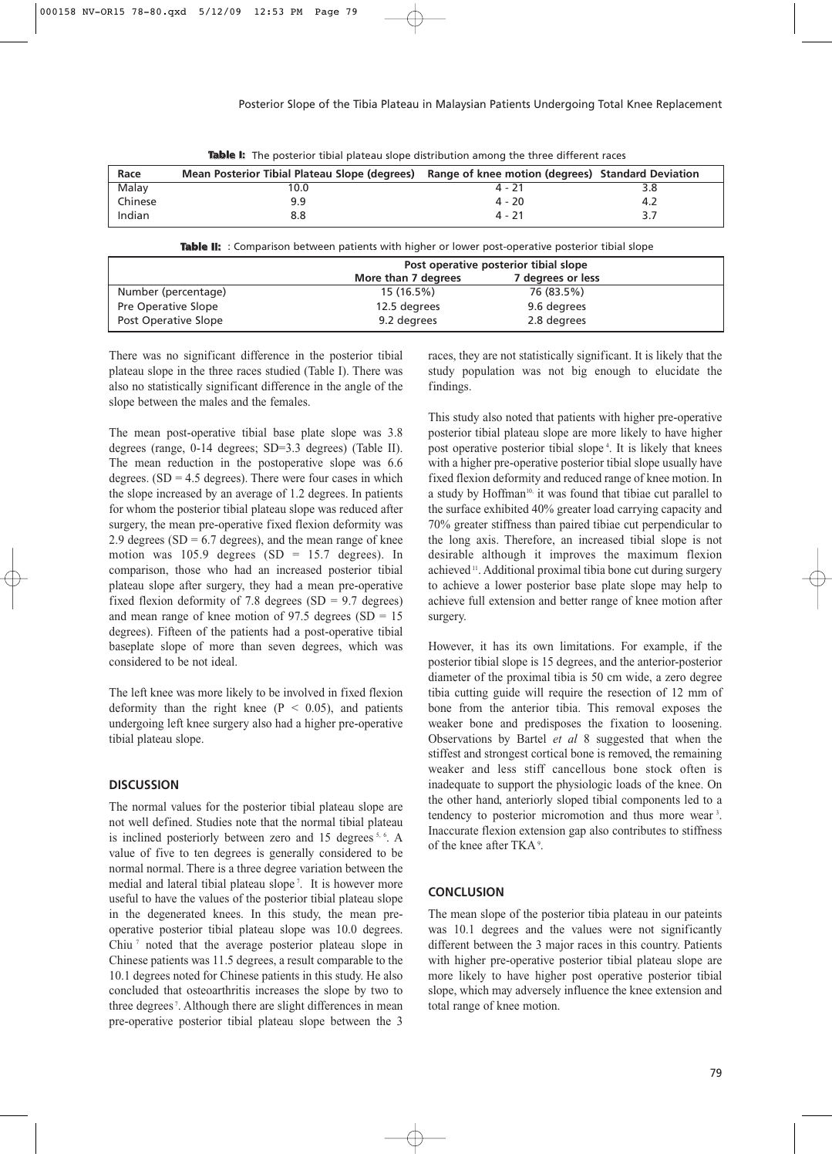| Race    | Mean Posterior Tibial Plateau Slope (degrees) Range of knee motion (degrees) Standard Deviation |          |  |
|---------|-------------------------------------------------------------------------------------------------|----------|--|
| Malay   | 10.0                                                                                            | 4 - 21   |  |
| Chinese | 9.9                                                                                             | $4 - 20$ |  |
| Indian  | 8.8                                                                                             | $4 - 21$ |  |

**Table I:** The posterior tibial plateau slope distribution among the three different races

| Table II: : Comparison between patients with higher or lower post-operative posterior tibial slope |                                       |                   |  |  |
|----------------------------------------------------------------------------------------------------|---------------------------------------|-------------------|--|--|
|                                                                                                    | Post operative posterior tibial slope |                   |  |  |
|                                                                                                    | More than 7 degrees                   | 7 degrees or less |  |  |
| Number (percentage)                                                                                | 15(16.5%)                             | 76 (83.5%)        |  |  |
| Pre Operative Slope                                                                                | 12.5 degrees                          | 9.6 degrees       |  |  |
| <b>Post Operative Slope</b>                                                                        | 9.2 degrees                           | 2.8 degrees       |  |  |

There was no significant difference in the posterior tibial plateau slope in the three races studied (Table I). There was also no statistically significant difference in the angle of the slope between the males and the females.

The mean post-operative tibial base plate slope was 3.8 degrees (range, 0-14 degrees; SD=3.3 degrees) (Table II). The mean reduction in the postoperative slope was 6.6 degrees.  $(SD = 4.5$  degrees). There were four cases in which the slope increased by an average of 1.2 degrees. In patients for whom the posterior tibial plateau slope was reduced after surgery, the mean pre-operative fixed flexion deformity was 2.9 degrees (SD =  $6.7$  degrees), and the mean range of knee motion was  $105.9$  degrees  $(SD = 15.7$  degrees). In comparison, those who had an increased posterior tibial plateau slope after surgery, they had a mean pre-operative fixed flexion deformity of 7.8 degrees  $(SD = 9.7$  degrees) and mean range of knee motion of 97.5 degrees  $(SD = 15$ degrees). Fifteen of the patients had a post-operative tibial baseplate slope of more than seven degrees, which was considered to be not ideal.

The left knee was more likely to be involved in fixed flexion deformity than the right knee ( $P < 0.05$ ), and patients undergoing left knee surgery also had a higher pre-operative tibial plateau slope.

## **DISCUSSION**

The normal values for the posterior tibial plateau slope are not well defined. Studies note that the normal tibial plateau is inclined posteriorly between zero and 15 degrees <sup>5, 6</sup>. A value of five to ten degrees is generally considered to be normal normal. There is a three degree variation between the medial and lateral tibial plateau slope <sup>7</sup> . It is however more useful to have the values of the posterior tibial plateau slope in the degenerated knees. In this study, the mean preoperative posterior tibial plateau slope was 10.0 degrees. Chiu <sup>7</sup> noted that the average posterior plateau slope in Chinese patients was 11.5 degrees, a result comparable to the 10.1 degrees noted for Chinese patients in this study. He also concluded that osteoarthritis increases the slope by two to three degrees <sup>7</sup> . Although there are slight differences in mean pre-operative posterior tibial plateau slope between the 3 races, they are not statistically significant. It is likely that the study population was not big enough to elucidate the findings.

This study also noted that patients with higher pre-operative posterior tibial plateau slope are more likely to have higher post operative posterior tibial slope <sup>4</sup> . It is likely that knees with a higher pre-operative posterior tibial slope usually have fixed flexion deformity and reduced range of knee motion. In a study by Hoffman<sup>10,</sup> it was found that tibiae cut parallel to the surface exhibited 40% greater load carrying capacity and 70% greater stiffness than paired tibiae cut perpendicular to the long axis. Therefore, an increased tibial slope is not desirable although it improves the maximum flexion achieved<sup>11</sup>. Additional proximal tibia bone cut during surgery to achieve a lower posterior base plate slope may help to achieve full extension and better range of knee motion after surgery.

However, it has its own limitations. For example, if the posterior tibial slope is 15 degrees, and the anterior-posterior diameter of the proximal tibia is 50 cm wide, a zero degree tibia cutting guide will require the resection of 12 mm of bone from the anterior tibia. This removal exposes the weaker bone and predisposes the fixation to loosening. Observations by Bartel *et al* 8 suggested that when the stiffest and strongest cortical bone is removed, the remaining weaker and less stiff cancellous bone stock often is inadequate to support the physiologic loads of the knee. On the other hand, anteriorly sloped tibial components led to a tendency to posterior micromotion and thus more wear <sup>3</sup> . Inaccurate flexion extension gap also contributes to stiffness of the knee after  $TKA$ <sup>9</sup>.

#### **CONCLUSION**

The mean slope of the posterior tibia plateau in our pateints was 10.1 degrees and the values were not significantly different between the 3 major races in this country. Patients with higher pre-operative posterior tibial plateau slope are more likely to have higher post operative posterior tibial slope, which may adversely influence the knee extension and total range of knee motion.